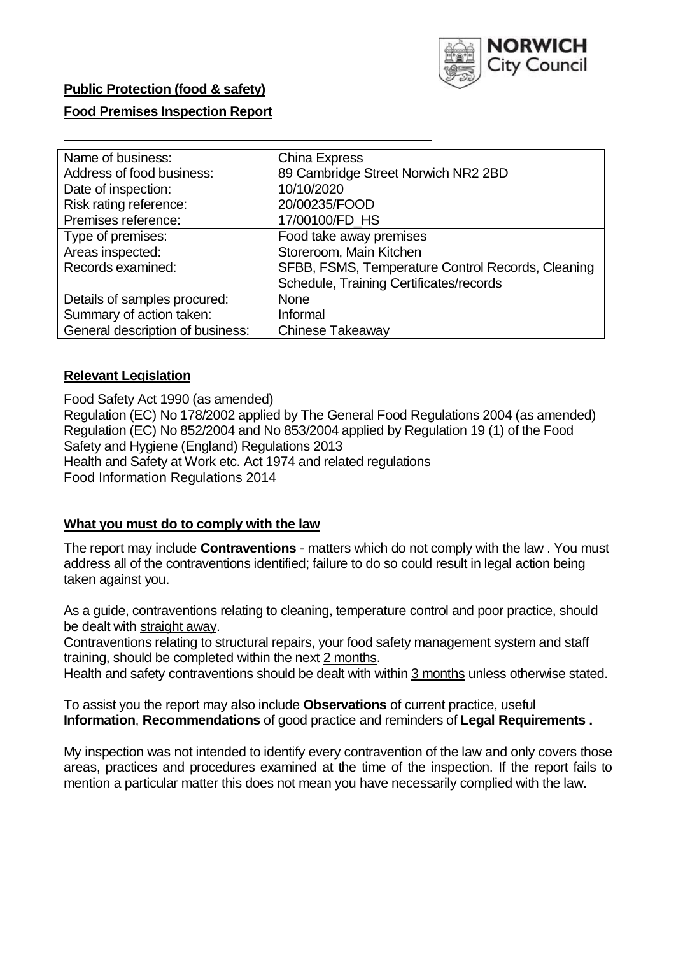

## **Public Protection (food & safety)**

## **Food Premises Inspection Report**

| Name of business:                | <b>China Express</b>                              |
|----------------------------------|---------------------------------------------------|
| Address of food business:        | 89 Cambridge Street Norwich NR2 2BD               |
| Date of inspection:              | 10/10/2020                                        |
| Risk rating reference:           | 20/00235/FOOD                                     |
| Premises reference:              | 17/00100/FD_HS                                    |
| Type of premises:                | Food take away premises                           |
| Areas inspected:                 | Storeroom, Main Kitchen                           |
| Records examined:                | SFBB, FSMS, Temperature Control Records, Cleaning |
|                                  | Schedule, Training Certificates/records           |
| Details of samples procured:     | <b>None</b>                                       |
| Summary of action taken:         | Informal                                          |
| General description of business: | <b>Chinese Takeaway</b>                           |

## **Relevant Legislation**

 Food Safety Act 1990 (as amended) Regulation (EC) No 178/2002 applied by The General Food Regulations 2004 (as amended) Regulation (EC) No 852/2004 and No 853/2004 applied by Regulation 19 (1) of the Food Safety and Hygiene (England) Regulations 2013 Health and Safety at Work etc. Act 1974 and related regulations Food Information Regulations 2014

### **What you must do to comply with the law**

 The report may include **Contraventions** - matters which do not comply with the law . You must address all of the contraventions identified; failure to do so could result in legal action being taken against you.

 As a guide, contraventions relating to cleaning, temperature control and poor practice, should be dealt with straight away.

 Contraventions relating to structural repairs, your food safety management system and staff training, should be completed within the next 2 months.

Health and safety contraventions should be dealt with within 3 months unless otherwise stated.

 To assist you the report may also include **Observations** of current practice, useful **Information**, **Recommendations** of good practice and reminders of **Legal Requirements .** 

 My inspection was not intended to identify every contravention of the law and only covers those areas, practices and procedures examined at the time of the inspection. If the report fails to mention a particular matter this does not mean you have necessarily complied with the law.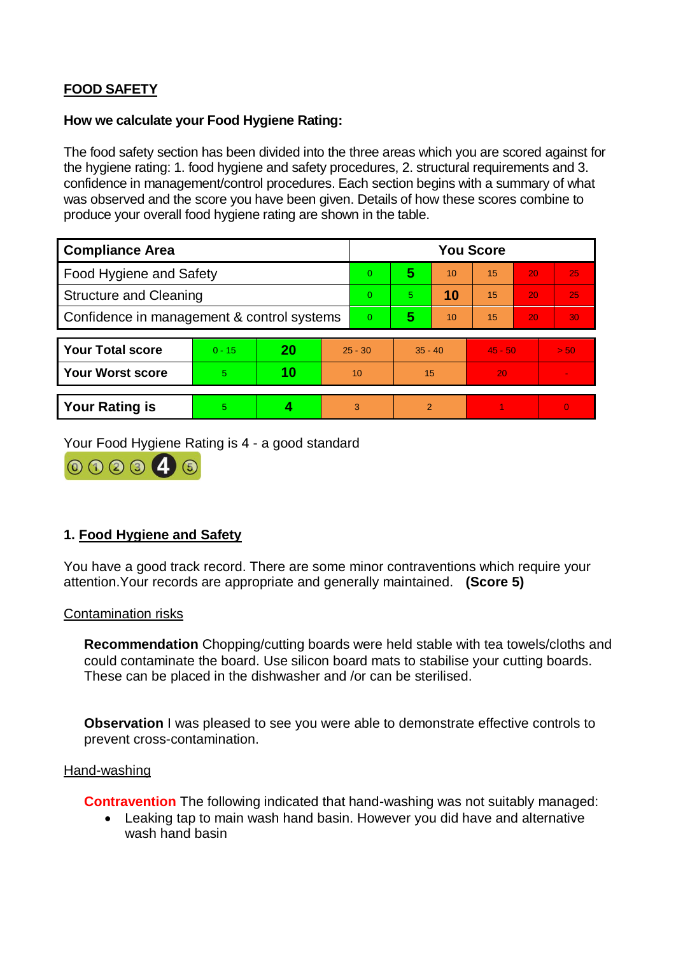# **FOOD SAFETY**

## **How we calculate your Food Hygiene Rating:**

 The food safety section has been divided into the three areas which you are scored against for the hygiene rating: 1. food hygiene and safety procedures, 2. structural requirements and 3. confidence in management/control procedures. Each section begins with a summary of what was observed and the score you have been given. Details of how these scores combine to produce your overall food hygiene rating are shown in the table.

| <b>Compliance Area</b>                     |          |    |                | <b>You Score</b> |                |    |           |    |                |  |  |
|--------------------------------------------|----------|----|----------------|------------------|----------------|----|-----------|----|----------------|--|--|
| Food Hygiene and Safety                    |          |    |                | $\Omega$         | 5              | 10 | 15        | 20 | 25             |  |  |
| <b>Structure and Cleaning</b>              |          |    | $\Omega$       | 5                | 10             | 15 | 20        | 25 |                |  |  |
| Confidence in management & control systems |          |    | $\overline{0}$ | 5                | 10             | 15 | 20        | 30 |                |  |  |
|                                            |          |    |                |                  |                |    |           |    |                |  |  |
| <b>Your Total score</b>                    | $0 - 15$ | 20 | $25 - 30$      |                  | $35 - 40$      |    | $45 - 50$ |    | > 50           |  |  |
| <b>Your Worst score</b>                    | 5        | 10 | 10             |                  | 15             |    | 20        |    | $\blacksquare$ |  |  |
|                                            |          |    |                |                  |                |    |           |    |                |  |  |
| <b>Your Rating is</b>                      | 5        |    |                | 3                | $\overline{2}$ |    |           |    | $\Omega$       |  |  |

Your Food Hygiene Rating is 4 - a good standard



## **1. Food Hygiene and Safety**

You have a good track record. There are some minor contraventions which require your attention.Your records are appropriate and generally maintained. **(Score 5)** 

### Contamination risks

**Recommendation** Chopping/cutting boards were held stable with tea towels/cloths and could contaminate the board. Use silicon board mats to stabilise your cutting boards. These can be placed in the dishwasher and /or can be sterilised.

**Observation** I was pleased to see you were able to demonstrate effective controls to prevent cross-contamination.

### Hand-washing

**Contravention** The following indicated that hand-washing was not suitably managed:

 Leaking tap to main wash hand basin. However you did have and alternative wash hand basin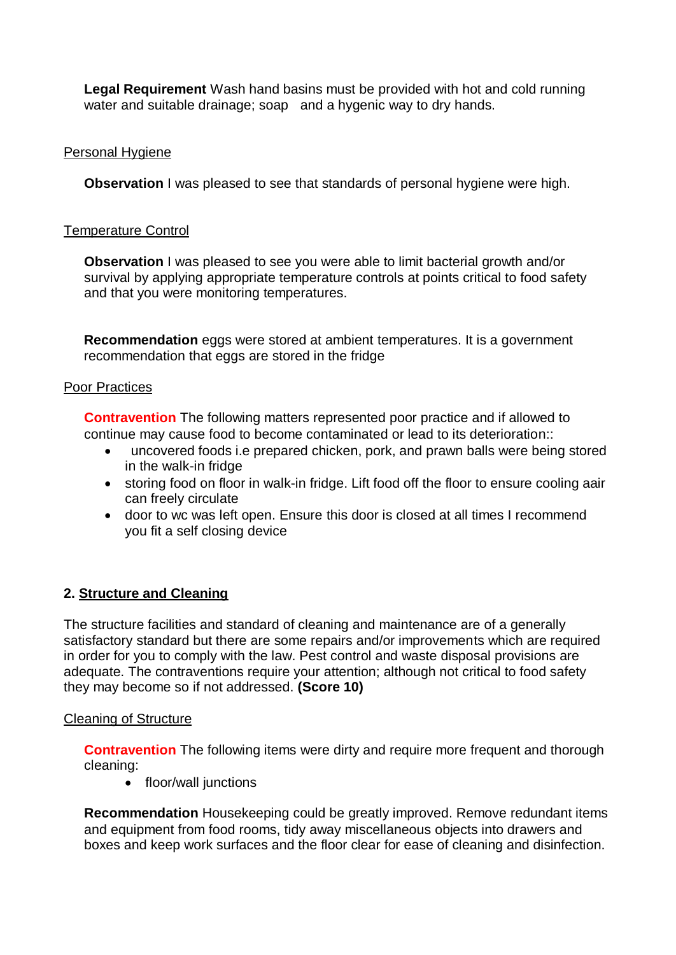**Legal Requirement** Wash hand basins must be provided with hot and cold running water and suitable drainage; soap and a hygenic way to dry hands.

## Personal Hygiene

**Observation** I was pleased to see that standards of personal hygiene were high.

## Temperature Control

 **Observation** I was pleased to see you were able to limit bacterial growth and/or survival by applying appropriate temperature controls at points critical to food safety and that you were monitoring temperatures.

 recommendation that eggs are stored in the fridge **Recommendation** eggs were stored at ambient temperatures. It is a government

## Poor Practices

 continue may cause food to become contaminated or lead to its deterioration:: **Contravention** The following matters represented poor practice and if allowed to

- uncovered foods i.e prepared chicken, pork, and prawn balls were being stored in the walk-in fridge
- storing food on floor in walk-in fridge. Lift food off the floor to ensure cooling aair can freely circulate
- door to wc was left open. Ensure this door is closed at all times I recommend you fit a self closing device

# **2. Structure and Cleaning**

 satisfactory standard but there are some repairs and/or improvements which are required The structure facilities and standard of cleaning and maintenance are of a generally in order for you to comply with the law. Pest control and waste disposal provisions are adequate. The contraventions require your attention; although not critical to food safety they may become so if not addressed. **(Score 10)** 

## Cleaning of Structure

**Contravention** The following items were dirty and require more frequent and thorough cleaning:

• floor/wall junctions

**Recommendation** Housekeeping could be greatly improved. Remove redundant items and equipment from food rooms, tidy away miscellaneous objects into drawers and boxes and keep work surfaces and the floor clear for ease of cleaning and disinfection.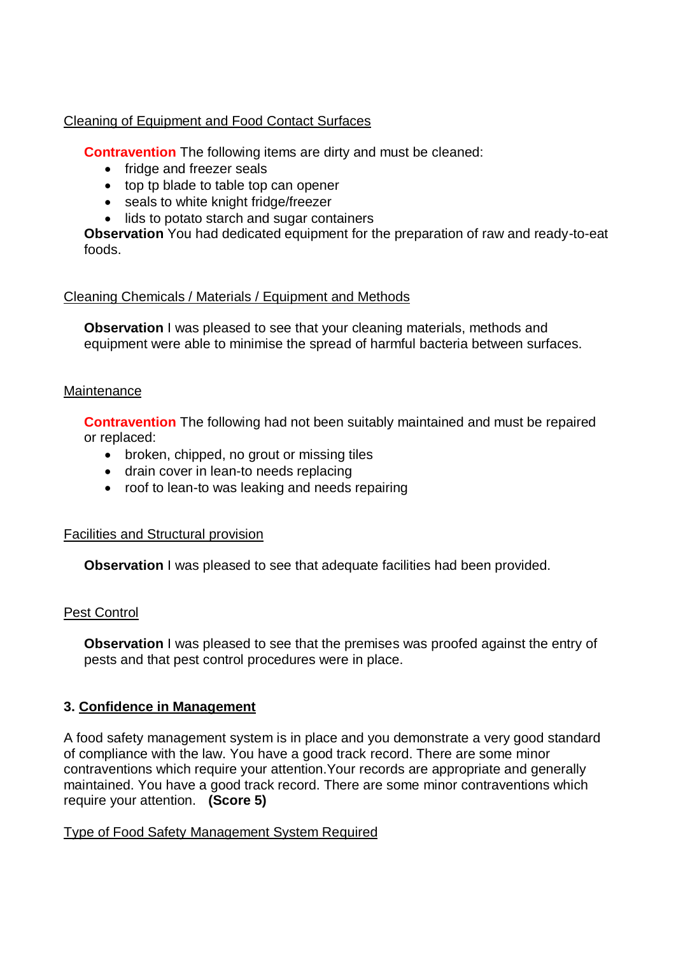## Cleaning of Equipment and Food Contact Surfaces

**Contravention** The following items are dirty and must be cleaned:

- fridge and freezer seals
- top tp blade to table top can opener
- seals to white knight fridge/freezer
- lids to potato starch and sugar containers

**Observation** You had dedicated equipment for the preparation of raw and ready-to-eat foods.

## Cleaning Chemicals / Materials / Equipment and Methods

**Observation** I was pleased to see that your cleaning materials, methods and equipment were able to minimise the spread of harmful bacteria between surfaces.

## **Maintenance**

**Contravention** The following had not been suitably maintained and must be repaired or replaced:

- broken, chipped, no grout or missing tiles
- drain cover in lean-to needs replacing
- roof to lean-to was leaking and needs repairing

## Facilities and Structural provision

**Observation** I was pleased to see that adequate facilities had been provided.

## Pest Control

**Observation** I was pleased to see that the premises was proofed against the entry of pests and that pest control procedures were in place.

## **3. Confidence in Management**

 of compliance with the law. You have a good track record. There are some minor require your attention. **(Score 5)**  A food safety management system is in place and you demonstrate a very good standard contraventions which require your attention.Your records are appropriate and generally maintained. You have a good track record. There are some minor contraventions which

## Type of Food Safety Management System Required